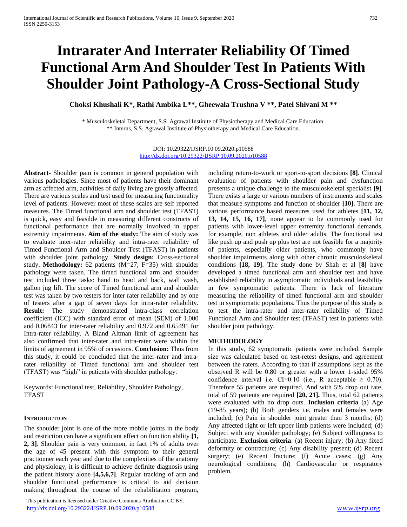# **Intrarater And Interrater Reliability Of Timed Functional Arm And Shoulder Test In Patients With Shoulder Joint Pathology-A Cross-Sectional Study**

**Choksi Khushali K\*, Rathi Ambika L\*\*, Gheewala Trushna V \*\*, Patel Shivani M \*\***

\* Musculoskeletal Department, S.S. Agrawal Institute of Physiotherapy and Medical Care Education. \*\* Interns, S.S. Agrawal Institute of Physiotherapy and Medical Care Education.

> DOI: 10.29322/IJSRP.10.09.2020.p10588 <http://dx.doi.org/10.29322/IJSRP.10.09.2020.p10588>

**Abstract-** Shoulder pain is common in general population with various pathologies. Since most of patients have their dominant arm as affected arm, activities of daily living are grossly affected. There are various scales and test used for measuring functionality level of patients. However most of these scales are self reported measures. The Timed functional arm and shoulder test (TFAST) is quick, easy and feasible in measuring different constructs of functional performance that are normally involved in upper extremity impairments. **Aim of the study:** The aim of study was to evaluate inter-rater reliability and intra-rater reliability of Timed Functional Arm and Shoulder Test (TFAST) in patients with shoulder joint pathology. **Study design:** Cross-sectional study. **Methodology:** 62 patients (M=27, F=35) with shoulder pathology were taken. The timed functional arm and shoulder test included three tasks: hand to head and back, wall wash, gallon jug lift. The score of Timed functional arm and shoulder test was taken by two testers for inter rater reliability and by one of testers after a gap of seven days for intra-rater reliability. **Result:** The study demonstrated intra-class correlation coefficient (ICC) with standard error of mean (SEM) of 1.000 and 0.06843 for inter-rater reliability and 0.972 and 0.65491 for Intra-rater reliability. A Bland Altman limit of agreement has also confirmed that inter-rater and intra-rater were within the limits of agreement in 95% of occasions. **Conclusion:** Thus from this study, it could be concluded that the inter-rater and intrarater reliability of Timed functional arm and shoulder test (TFAST) was "high" in patients with shoulder pathology.

Keywords: Functional test, Reliability, Shoulder Pathology, TFAST

#### **INTRODUCTION**

The shoulder joint is one of the more mobile joints in the body and restriction can have a significant effect on function ability **[1, 2, 3]**. Shoulder pain is very common, in fact 1% of adults over the age of 45 present with this symptom to their general practionner each year and due to the complexities of the anatomy and physiology, it is difficult to achieve definite diagnosis using the patient history alone **[4,5,6,7]**. Regular tracking of arm and shoulder functional performance is critical to aid decision making throughout the course of the rehabilitation program,

 This publication is licensed under Creative Commons Attribution CC BY. <http://dx.doi.org/10.29322/IJSRP.10.09.2020.p10588> [www.ijsrp.org](http://ijsrp.org/)

including return-to-work or sport-to-sport decisions **[8]**. Clinical evaluation of patients with shoulder pain and dysfunction presents a unique challenge to the musculoskeletal specialist **[9]**. There exists a large or various numbers of instruments and scales that measure symptoms and function of shoulder **[10].** There are various performance based measures used for athletes **[11, 12, 13, 14, 15, 16, 17]**, none appear to be commonly used for patients with lower-level upper extremity functional demands, for example, non athletes and older adults. The functional test like push up and push up plus test are not feasible for a majority of patients, especially older patients, who commonly have shoulder impairments along with other chronic musculoskeletal conditions **[18, 19]**. The study done by Shah et al **[8]** have developed a timed functional arm and shoulder test and have established reliability in asymptomatic individuals and feasibility in few symptomatic patients. There is lack of literature measuring the reliability of timed functional arm and shoulder test in symptomatic populations. Thus the purpose of this study is to test the intra-rater and inter-rater reliability of Timed Functional Arm and Shoulder test (TFAST) test in patients with shoulder joint pathology.

#### **METHODOLOGY**

In this study, 62 symptomatic patients were included. Sample size was calculated based on test-retest designs, and agreement between the raters. According to that if assumptions kept as the observed R will be 0.80 or greater with a lower 1-sided 95% confidence interval i.e. CI=0.10 (i.e., R acceptable  $\geq$  0.70). Therefore 55 patients are required. And with 5% drop out rate, total of 59 patients are required **[20, 21].** Thus, total 62 patients were evaluated with no drop outs. **Inclusion criteria** (a) Age (19-85 years); (b) Both genders i.e. males and females were included; (c) Pain in shoulder joint greater than 3 months; (d) Any affected right or left upper limb patients were included; (d) Subject with any shoulder pathology; (e) Subject willingness to participate. **Exclusion criteria**: (a) Recent injury; (b) Any fixed deformity or contracture; (c) Any disability present; (d) Recent surgery; (e) Recent fracture; (f) Acute cases; (g) Any neurological conditions; (h) Cardiovascular or respiratory problem.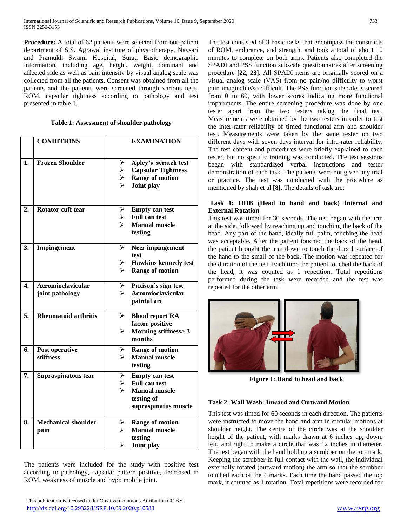**Procedure:** A total of 62 patients were selected from out-patient department of S.S. Agrawal institute of physiotherapy, Navsari and Pramukh Swami Hospital, Surat. Basic demographic information, including age, height, weight, dominant and affected side as well as pain intensity by visual analog scale was collected from all the patients. Consent was obtained from all the patients and the patients were screened through various tests, ROM, capsular tightness according to pathology and test presented in table 1.

**Table 1: Assessment of shoulder pathology**

|    | <b>CONDITIONS</b>                           | <b>EXAMINATION</b>                                                                                                                                    |
|----|---------------------------------------------|-------------------------------------------------------------------------------------------------------------------------------------------------------|
| 1. | <b>Frozen Shoulder</b>                      | Apley's scratch test<br>➤<br>$\blacktriangleright$<br><b>Capsular Tightness</b><br><b>Range of motion</b><br>$\blacktriangleright$<br>Joint play<br>➤ |
| 2. | <b>Rotator</b> cuff tear                    | <b>Empty can test</b><br>➤<br><b>Full can test</b><br>≻<br>$\blacktriangleright$<br><b>Manual muscle</b><br>testing                                   |
| 3. | Impingement                                 | Neer impingement<br>$\blacktriangleright$<br>test<br><b>Hawkins kennedy test</b><br>➤<br>$\blacktriangleright$<br><b>Range of motion</b>              |
| 4. | <b>Acromioclavicular</b><br>joint pathology | Paxison's sign test<br>≻<br><b>Acromioclavicular</b><br>➤<br>painful arc                                                                              |
| 5. | <b>Rheumatoid arthritis</b>                 | <b>Blood report RA</b><br>➤<br>factor positive<br><b>Morning stiffness&gt; 3</b><br>➤<br>months                                                       |
| 6. | Post operative<br>stiffness                 | <b>Range of motion</b><br>➤<br><b>Manual muscle</b><br>≻<br>testing                                                                                   |
| 7. | Supraspinatous tear                         | <b>Empty can test</b><br>➤<br><b>Full can test</b><br>≻<br>$\blacktriangleright$<br><b>Manual muscle</b><br>testing of<br>supraspinatus muscle        |
| 8. | <b>Mechanical shoulder</b><br>pain          | <b>Range of motion</b><br>➤<br><b>Manual muscle</b><br>↘<br>testing<br>Joint play<br>➤                                                                |

The patients were included for the study with positive test according to pathology, capsular pattern positive, decreased in ROM, weakness of muscle and hypo mobile joint.

 This publication is licensed under Creative Commons Attribution CC BY. <http://dx.doi.org/10.29322/IJSRP.10.09.2020.p10588> [www.ijsrp.org](http://ijsrp.org/)

The test consisted of 3 basic tasks that encompass the constructs of ROM, endurance, and strength, and took a total of about 10 minutes to complete on both arms. Patients also completed the SPADI and PSS function subscale questionnaires after screening procedure **[22, 23].** All SPADI items are originally scored on a visual analog scale (VAS) from no pain/no difficulty to worst pain imaginable/so difficult. The PSS function subscale is scored from 0 to 60, with lower scores indicating more functional impairments. The entire screening procedure was done by one tester apart from the two testers taking the final test. Measurements were obtained by the two testers in order to test the inter-rater reliability of timed functional arm and shoulder test. Measurements were taken by the same tester on two different days with seven days interval for intra-rater reliability. The test content and procedures were briefly explained to each tester, but no specific training was conducted. The test sessions began with standardized verbal instructions and tester demonstration of each task. The patients were not given any trial or practice. The test was conducted with the procedure as mentioned by shah et al **[8].** The details of task are:

# **Task 1: HHB (Head to hand and back) Internal and External Rotation**

This test was timed for 30 seconds. The test began with the arm at the side, followed by reaching up and touching the back of the head. Any part of the hand, ideally full palm, touching the head was acceptable. After the patient touched the back of the head, the patient brought the arm down to touch the dorsal surface of the hand to the small of the back. The motion was repeated for the duration of the test. Each time the patient touched the back of the head, it was counted as 1 repetition. Total repetitions performed during the task were recorded and the test was repeated for the other arm.



**Figure 1**: **Hand to head and back**

# **Task 2**: **Wall Wash: Inward and Outward Motion**

This test was timed for 60 seconds in each direction. The patients were instructed to move the hand and arm in circular motions at shoulder height. The centre of the circle was at the shoulder height of the patient, with marks drawn at 6 inches up, down, left, and right to make a circle that was 12 inches in diameter. The test began with the hand holding a scrubber on the top mark. Keeping the scrubber in full contact with the wall, the individual externally rotated (outward motion) the arm so that the scrubber touched each of the 4 marks. Each time the hand passed the top mark, it counted as 1 rotation. Total repetitions were recorded for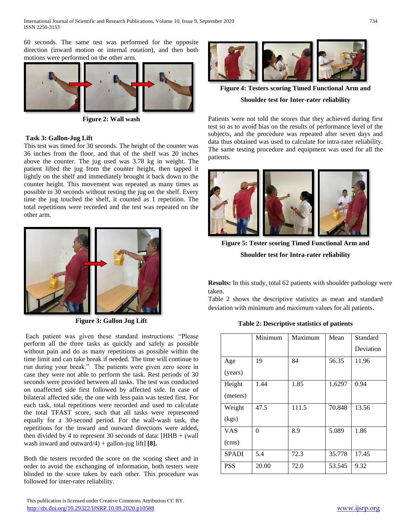60 seconds. The same test was performed for the opposite direction (inward motion or internal rotation), and then both motions were performed on the other arm.



**Figure 2: Wall wash**

### **Task 3: Gallon-Jug Lift**

This test was timed for 30 seconds. The height of the counter was 36 inches from the floor, and that of the shelf was 20 inches above the counter. The jug used was 3.78 kg in weight. The patient lifted the jug from the counter height, then tapped it lightly on the shelf and immediately brought it back down to the counter height. This movement was repeated as many times as possible in 30 seconds without resting the jug on the shelf. Every time the jug touched the shelf, it counted as 1 repetition. The total repetitions were recorded and the test was repeated on the other arm.



**Figure 3: Gallon Jug Lift**

Each patient was given these standard instructions: "Please perform all the three tasks as quickly and safely as possible without pain and do as many repetitions as possible within the time limit and can take break if needed. The time will continue to run during your break." The patients were given zero score in case they were not able to perform the task. Rest periods of 30 seconds were provided between all tasks. The test was conducted on unaffected side first followed by affected side. In case of bilateral affected side, the one with less pain was tested first. For each task, total repetitions were recorded and used to calculate the total TFAST score, such that all tasks were represented equally for a 30-second period. For the wall-wash task, the repetitions for the inward and outward directions were added, then divided by 4 to represent 30 seconds of data:  $[HHB + (wall$ wash inward and outward/4) + gallon-jug lift]  $[8]$ .

Both the testers recorded the score on the scoring sheet and in order to avoid the exchanging of information, both testers were blinded to the score taken by each other. This procedure was followed for inter-rater reliability.

 This publication is licensed under Creative Commons Attribution CC BY. <http://dx.doi.org/10.29322/IJSRP.10.09.2020.p10588> [www.ijsrp.org](http://ijsrp.org/)



**Figure 4: Testers scoring Timed Functional Arm and Shoulder test for Inter-rater reliability**

Patients were not told the scores that they achieved during first test so as to avoid bias on the results of performance level of the subjects, and the procedure was repeated after seven days and data thus obtained was used to calculate for intra-rater reliability. The same testing procedure and equipment was used for all the patients.



**Figure 5: Tester scoring Timed Functional Arm and Shoulder test for Intra-rater reliability**

**Results:** In this study, total 62 patients with shoulder pathology were taken.

Table 2 shows the descriptive statistics as mean and standard deviation with minimum and maximum values for all patients.

**Table 2: Descriptive statistics of patients**

|              | Minimum  | Maximum | Mean   | Standard  |
|--------------|----------|---------|--------|-----------|
|              |          |         |        | Deviation |
| Age          | 19       | 84      | 56.35  | 11.96     |
| (years)      |          |         |        |           |
| Height       | 1.44     | 1.85    | 1.6297 | 0.94      |
| (meters)     |          |         |        |           |
| Weight       | 47.5     | 111.5   | 70.848 | 13.56     |
| (kgs)        |          |         |        |           |
| <b>VAS</b>   | $\theta$ | 8.9     | 5.089  | 1.86      |
| $\rm (cms)$  |          |         |        |           |
| <b>SPADI</b> | 5.4      | 72.3    | 35.778 | 17.45     |
| <b>PSS</b>   | 20.00    | 72.0    | 53.545 | 9.32      |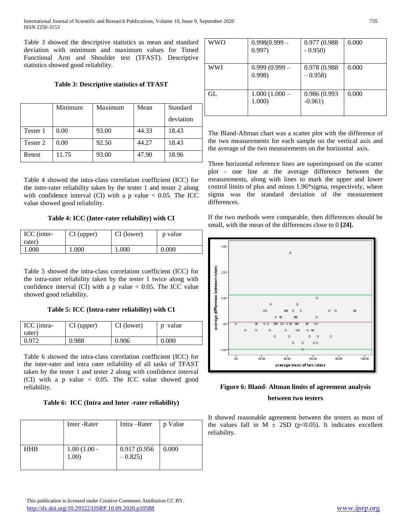Table 3 showed the descriptive statistics as mean and standard deviation with minimum and maximum values for Timed Functional Arm and Shoulder test (TFAST). Descriptive statistics showed good reliability.

# **Table 3: Descriptive statistics of TFAST**

|          | Minimum | Maximum | Mean  | Standard  |
|----------|---------|---------|-------|-----------|
|          |         |         |       | deviation |
| Tester 1 | 0.00    | 93.00   | 44.33 | 18.43     |
| Tester 2 | 0.00    | 92.50   | 44.27 | 18.43     |
| Retest   | 11.75   | 93.00   | 47.90 | 18.96     |

Table 4 showed the intra-class correlation coefficient (ICC) for the inter-rater reliability taken by the tester 1 and tester 2 along with confidence interval (CI) with a p value  $< 0.05$ . The ICC value showed good reliability.

#### **Table 4: ICC (Inter-rater reliability) with CI**

| ICC (inter-<br>rater) | $CI$ (upper) | CI (lower) | p value |
|-----------------------|--------------|------------|---------|
| 000.1                 | 000.1        | 000.1      | 0.000   |

Table 5 showed the intra-class correlation coefficient (ICC) for the intra-rater reliability taken by the tester 1 twice along with confidence interval (CI) with a p value  $< 0.05$ . The ICC value showed good reliability.

# **Table 5: ICC (Intra-rater reliability) with CI**

| ICC (intra-<br>rater) | $CI$ (upper) | CI (lower) | p value |
|-----------------------|--------------|------------|---------|
| 0.972                 | 0.988        | 0.906      | 0.000   |

Table 6 showed the intra-class correlation coefficient (ICC) for the inter-rater and intra rater reliability of all tasks of TFAST taken by the tester 1 and tester 2 along with confidence interval (CI) with a p value < 0.05. The ICC value showed good reliability.

## **Table 6: ICC (Intra and Inter -rater reliability)**

|            | Inter - Rater          | Intra-Rater               | p Value |
|------------|------------------------|---------------------------|---------|
| <b>HHB</b> | $1.00(1.00 -$<br>1.00) | 0.917 (0.956)<br>$-0.825$ | 0.000   |

| <b>WWO</b> | $0.998(0.999 -$<br>0.997) | 0.977 (0.988)<br>$-0.950$  | 0.000 |
|------------|---------------------------|----------------------------|-------|
| <b>WWI</b> | $0.999(0.999 -$<br>0.998  | 0.978 (0.988)<br>$-0.958$  | 0.000 |
| GL         | $1.000(1.000 -$<br>1.000) | 0.986 (0.993<br>$-0.961$ ) | 0.000 |

The Bland-Altman chart was a scatter plot with the difference of the two measurements for each sample on the vertical axis and the average of the two measurements on the horizontal axis.

Three horizontal reference lines are superimposed on the scatter plot - one line at the average difference between the measurements, along with lines to mark the upper and lower control limits of plus and minus 1.96\*sigma, respectively, where sigma was the standard deviation of the measurement differences.

If the two methods were comparable, then differences should be small, with the mean of the differences close to 0 **[24].**





#### **between two testers**

It showed reasonable agreement between the testers as most of the values fall in M  $\pm$  2SD (p<0.05). It indicates excellent reliability.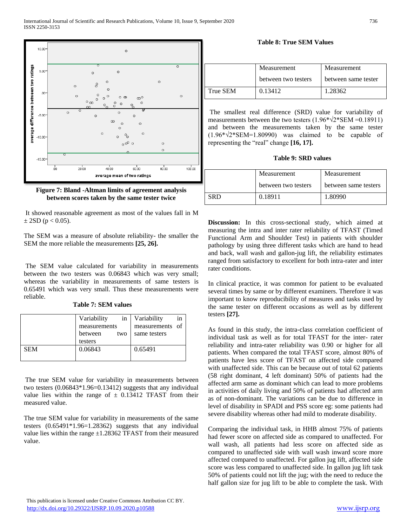



It showed reasonable agreement as most of the values fall in M  $\pm$  2SD (p < 0.05).

The SEM was a measure of absolute reliability- the smaller the SEM the more reliable the measurements **[25, 26].**

The SEM value calculated for variability in measurements between the two testers was 0.06843 which was very small; whereas the variability in measurements of same testers is 0.65491 which was very small. Thus these measurements were reliable.

|            | Variability    | in Variability<br>1n |
|------------|----------------|----------------------|
|            | measurements   | measurements of      |
|            | between<br>two | same testers         |
|            | testers        |                      |
| <b>SEM</b> | 0.06843        | 0.65491              |
|            |                |                      |

 **Table 7: SEM values**

The true SEM value for variability in measurements between two testers (0.06843\*1.96=0.13412) suggests that any individual value lies within the range of  $\pm$  0.13412 TFAST from their measured value.

The true SEM value for variability in measurements of the same testers (0.65491\*1.96=1.28362) suggests that any individual value lies within the range  $\pm 1.28362$  TFAST from their measured value.

**Table 8: True SEM Values**

|          | Measurement         | <b>Measurement</b>  |
|----------|---------------------|---------------------|
|          | between two testers | between same tester |
| True SEM | 0.13412             | 1.28362             |

The smallest real difference (SRD) value for variability of measurements between the two testers  $(1.96*\sqrt{2}$ <sup>\*</sup>SEM =0.18911) and between the measurements taken by the same tester (1.96\*√2\*SEM=1.80990) was claimed to be capable of representing the "real" change **[16, 17].**

**Table 9: SRD values**

|     | Measurement         | Measurement          |
|-----|---------------------|----------------------|
|     | between two testers | between same testers |
| SRD | 0.18911             | 1.80990              |

**Discussion:** In this cross-sectional study, which aimed at measuring the intra and inter rater reliability of TFAST (Timed Functional Arm and Shoulder Test) in patients with shoulder pathology by using three different tasks which are hand to head and back, wall wash and gallon-jug lift, the reliability estimates ranged from satisfactory to excellent for both intra-rater and inter rater conditions.

In clinical practice, it was common for patient to be evaluated several times by same or by different examiners. Therefore it was important to know reproducibility of measures and tasks used by the same tester on different occasions as well as by different testers **[27].**

As found in this study, the intra-class correlation coefficient of individual task as well as for total TFAST for the inter- rater reliability and intra-rater reliability was 0.90 or higher for all patients. When compared the total TFAST score, almost 80% of patients have less score of TFAST on affected side compared with unaffected side. This can be because out of total 62 patients (58 right dominant, 4 left dominant) 50% of patients had the affected arm same as dominant which can lead to more problems in activities of daily living and 50% of patients had affected arm as of non-dominant. The variations can be due to difference in level of disability in SPADI and PSS score eg: some patients had severe disability whereas other had mild to moderate disability.

Comparing the individual task, in HHB almost 75% of patients had fewer score on affected side as compared to unaffected. For wall wash, all patients had less score on affected side as compared to unaffected side with wall wash inward score more affected compared to unaffected. For gallon jug lift, affected side score was less compared to unaffected side. In gallon jug lift task 50% of patients could not lift the jug; with the need to reduce the half gallon size for jug lift to be able to complete the task. With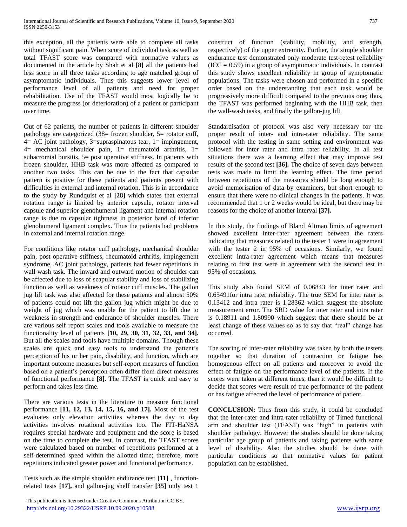this exception, all the patients were able to complete all tasks without significant pain. When score of individual task as well as total TFAST score was compared with normative values as documented in the article by Shah et al **[8]** all the patients had less score in all three tasks according to age matched group of asymptomatic individuals. Thus this suggests lower level of performance level of all patients and need for proper rehabilitation. Use of the TFAST would most logically be to measure the progress (or deterioration) of a patient or participant over time.

Out of 62 patients, the number of patients in different shoulder pathology are categorized (38= frozen shoulder, 5= rotator cuff, 4= AC joint pathology, 3=supraspinatous tear, 1= impingement,  $4=$  mechanical shoulder pain,  $1=$  rheumatoid arthritis,  $1=$ subacromial bursitis, 5= post operative stiffness. In patients with frozen shoulder, HHB task was more affected as compared to another two tasks. This can be due to the fact that capsular pattern is positive for these patients and patients present with difficulties in external and internal rotation. This is in accordance to the study by Rundquist et al **[28]** which states that external rotation range is limited by anterior capsule, rotator interval capsule and superior glenohumeral ligament and internal rotation range is due to capsular tightness in posterior band of inferior glenohumeral ligament complex. Thus the patients had problems in external and internal rotation range.

For conditions like rotator cuff pathology, mechanical shoulder pain, post operative stiffness, rheumatoid arthritis, impingement syndrome, AC joint pathology, patients had fewer repetitions in wall wash task. The inward and outward motion of shoulder can be affected due to loss of scapular stability and loss of stabilizing function as well as weakness of rotator cuff muscles. The gallon jug lift task was also affected for these patients and almost 50% of patients could not lift the gallon jug which might be due to weight of jug which was unable for the patient to lift due to weakness in strength and endurance of shoulder muscles. There are various self report scales and tools available to measure the functionality level of patients **[10, 29, 30, 31, 32, 33, and 34].** But all the scales and tools have multiple domains. Though these scales are quick and easy tools to understand the patient's perception of his or her pain, disability, and function, which are important outcome measures but self-report measures of function based on a patient's perception often differ from direct measures of functional performance **[8].** The TFAST is quick and easy to perform and takes less time.

There are various tests in the literature to measure functional performance **[11, 12, 13, 14, 15, 16, and 17].** Most of the test evaluates only elevation activities whereas the day to day activities involves rotational activities too. The FIT-HaNSA requires special hardware and equipment and the score is based on the time to complete the test. In contrast, the TFAST scores were calculated based on number of repetitions performed at a self-determined speed within the allotted time; therefore, more repetitions indicated greater power and functional performance.

Tests such as the simple shoulder endurance test **[11]** , functionrelated tests **[17],** and gallon-jug shelf transfer **[35]** only test 1

 This publication is licensed under Creative Commons Attribution CC BY. <http://dx.doi.org/10.29322/IJSRP.10.09.2020.p10588> [www.ijsrp.org](http://ijsrp.org/)

construct of function (stability, mobility, and strength, respectively) of the upper extremity. Further, the simple shoulder endurance test demonstrated only moderate test-retest reliability  $(ICC = 0.59)$  in a group of asymptomatic individuals. In contrast this study shows excellent reliability in group of symptomatic populations. The tasks were chosen and performed in a specific order based on the understanding that each task would be progressively more difficult compared to the previous one; thus, the TFAST was performed beginning with the HHB task, then the wall-wash tasks, and finally the gallon-jug lift.

Standardisation of protocol was also very necessary for the proper result of inter- and intra-rater reliability. The same protocol with the testing in same setting and environment was followed for inter rater and intra rater reliability. In all test situations there was a learning effect that may improve test results of the second test **[36].** The choice of seven days between tests was made to limit the learning effect. The time period between repetitions of the measures should be long enough to avoid memorisation of data by examiners, but short enough to ensure that there were no clinical changes in the patients. It was recommended that 1 or 2 weeks would be ideal, but there may be reasons for the choice of another interval **[37].**

In this study, the findings of Bland Altman limits of agreement showed excellent inter-rater agreement between the raters indicating that measures related to the tester 1 were in agreement with the tester 2 in 95% of occasions. Similarly, we found excellent intra-rater agreement which means that measures relating to first test were in agreement with the second test in 95% of occasions.

This study also found SEM of 0.06843 for inter rater and 0.65491for intra rater reliability. The true SEM for inter rater is 0.13412 and intra rater is 1.28362 which suggest the absolute measurement error. The SRD value for inter rater and intra rater is 0.18911 and 1.80990 which suggest that there should be at least change of these values so as to say that "real" change has occurred.

The scoring of inter-rater reliability was taken by both the testers together so that duration of contraction or fatigue has homogenous effect on all patients and moreover to avoid the effect of fatigue on the performance level of the patients. If the scores were taken at different times, than it would be difficult to decide that scores were result of true performance of the patient or has fatigue affected the level of performance of patient.

**CONCLUSION:** Thus from this study, it could be concluded that the inter-rater and intra-rater reliability of Timed functional arm and shoulder test (TFAST) was "high" in patients with shoulder pathology. However the studies should be done taking particular age group of patients and taking patients with same level of disability. Also the studies should be done with particular conditions so that normative values for patient population can be established.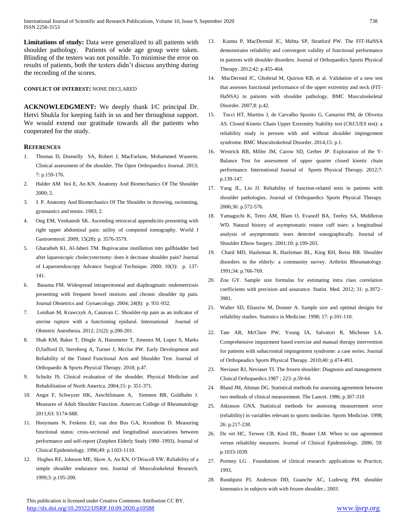Limitations of study: Data were generalized to all patients with shoulder pathology. Patients of wide age group were taken. Blinding of the testers was not possible. To minimise the error on results of patients, both the testers didn't discuss anything during the recording of the scores.

#### **CONFLICT OF INTEREST:** NONE DECLARED

**ACKNOWLEDGMENT:** We deeply thank I/C principal Dr. Hetvi Shukla for keeping faith in us and her throughout support. We would extend our gratitude towards all the patients who cooperated for the study.

#### **REFERENCES**

- 1. Thomas D, Donnelly SA, Robert J, MacFarlane, Mohammed Waseem. Clinical assessment of the shoulder. The Open Orthopaedics Journal. 2013; 7: p.159-176.
- 2. Halder AM Itoi E, An KN. Anatomy And Biomechanics Of The Shoulder 2000; 2.
- 3. J. P. Anatomy And Biomechanics Of The Shoulder in throwing, swimming, gymnastics and tennis. 1983; 2.
- 4. Ong EM, Venkatesh SK. Ascending retrocecal appendicitis presenting with right upper abdominal pain: utility of computed tomography. World J Gastroenterol. 2009; 15(28): p. 3576-3579.
- 5. Gharaibeh KI, Al-Jaberi TM. Bupivacaine instillation into gallbladder bed after laparoscopic cholecystectomy: does it decrease shoulder pain? Journal of Laparoendoscopy Advance Surgical Technique. 2000; 10(3): p. 137- 141.
- 6. Basama FM. Widespread intraperitoneal and diaphragmatic endometriosis presenting with frequent bowel motions and chronic shoulder tip pain. Journal Obstetrics and Gynaecology. 2004; 24(8): p. 931-932.
- 7. Lenihan M, Krawczyk A, Canavan C. Shoulder-tip pain as an indicator of uterine rupture with a functioning epidural. International Journal of Obstetric Anesthesia. 2012; 21(2): p.200-201.
- 8. Shah KM, Baker T, Dingle A, Hansmeier T, Jimenez M, Lopez S, Marks D,Safford D, Sternberg A, Turner J, Mcclur PW. Early Development and Reliability of the Timed Functional Arm and Shoulder Test. Journal of Orthopaedic & Sports Physical Therapy. 2018; p.47.
- 9. Schultz JS. Clinical evaluation of the shoulder. Physical Medicine and Rehabilitation of North America. 2004;15: p. 351-371.
- 10. Angst F, Schwyzer HK, Aeschilimann A, Simmen BR, Goldhahn J. Measures of Adult Shoulder Function. American College of Rheumatology 2011;63: S174-S88.
- 11. Hoeymans N, Feskens EJ, van den Bos GA, Kromhout D. Measuring functional status: cross-sectional and longitudinal associations between performance and self-report (Zutphen Elderly Study 1990–1993). Journal of Clinical Epidemiology. 1996;49: p.1103-1110.
- 12. Hughes RE, Johnson ME, Skow A, An KN, O'Driscoll SW. Reliability of a simple shoulder endurance test. Journal of Musculoskeletal Research. 1999;3: p.195-200.

 This publication is licensed under Creative Commons Attribution CC BY. <http://dx.doi.org/10.29322/IJSRP.10.09.2020.p10588> [www.ijsrp.org](http://ijsrp.org/)

- 13. Kumta P, MacDermid JC, Mehta SP, Stratford PW. The FIT-HaNSA demonstrates reliability and convergent validity of functional performance in patients with shoulder disorders. Journal of Orthopaedics Sports Physical Therapy. 2012;42: p.455-464.
- 14. MacDermid JC, Ghobrial M, Quirion KB, et al. Validation of a new test that assesses functional performance of the upper extremity and neck (FIT-HaNSA) in patients with shoulder pathology. BMC Musculoskeletal Disorder. 2007;8: p.42.
- 15. Tucci HT, Martins J, de Carvalho Sposito G, Camarini PM, de Oliveira AS. Closed Kinetic Chain Upper Extremity Stability test (CKCUES test): a reliability study in persons with and without shoulder impingement syndrome. BMC Musculoskeletal Disorder. 2014;15: p.1.
- 16. Westrick RB, Miller JM, Carow SD, Gerber JP. Exploration of the Y-Balance Test for assessment of upper quarter closed kinetic chain performance. International Journal of Sports Physical Therapy. 2012;7: p.139-147.
- 17. Yang JL, Lin JJ. Reliability of function-related tests in patients with shoulder pathologies. Journal of Orthopaedics Sports Physical Therapy. 2006;36: p.572-576.
- 18. Yamaguchi K, Tetro AM, Blam O, Evanoff BA, Teefey SA, Middleton WD. Natural history of asymptomatic rotator cuff tears: a longitudinal analysis of asymptomatic tears detected sonographically. Journal of Shoulder Elbow Surgery. 2001;10: p.199-203.
- 19. Chard MD, Hazleman R, Hazleman BL, King RH, Reiss BB. Shoulder disorders in the elderly: a community survey. Arthritis Rheumatology. 1991;34: p.766-769.
- 20. Zou GY. Sample size formulas for estimating intra class correlation coefficients with precision and assurance. Statist. Med. 2012; 31: p.3972– 3981.
- 21. Walter SD, Eliasziw M, Donner A. Sample size and optimal designs for reliability studies. Statistics in Medicine. 1998; 17: p.101-110.
- 22. Tate AR, McClure PW, Young IA, Salvatori R, Michener LA. Comprehensive impairment based exercise and manual therapy intervention for patients with subacromial impingement syndrome: a case series. Journal of Orthopeadics Sports Physical Therapy. 2010;40: p.474-493.
- 23. Neviaser RJ, Neviaser TI. The frozen shoulder: Diagnosis and management. Clinical Orthopaedics.1987 ; 223: p.59-64.
- 24. Bland JM, Altman DG. Statistical methods for assessing agreement between two methods of clinical measurement. The Lancet. 1986; p.307-310
- 25. Atkinson GNA. Statistical methods for assessing measurement error (reliability) in variables relevant to sports medicine. Sports Medicine. 1998; 26: p.217-238.
- 26. De vet HC, Terwee CB, Knol DL, Bouter LM. When to use agreement versus reliability measures. Journal of Clinical Epidemiology. 2006; 59: p.1033-1039.
- 27. Portney LG . Foundations of clinical research: applications to Practice; 1993.
- 28. Rundquist PJ, Anderson DD, Guanche AC, Ludewig PM. shoulder kinematics in subjects with with frozen shoulder.; 2003.